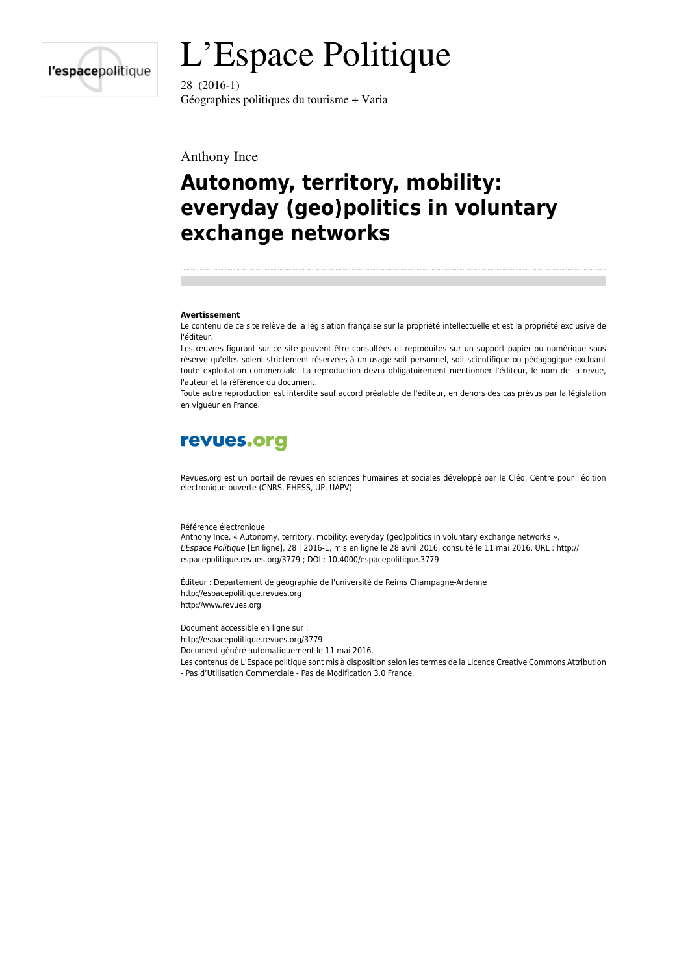

# L'Espace Politique

28 (2016-1) Géographies politiques du tourisme + Varia

#### Anthony Ince

# **Autonomy, territory, mobility: everyday (geo)politics in voluntary exchange networks**

#### **Avertissement**

Le contenu de ce site relève de la législation française sur la propriété intellectuelle et est la propriété exclusive de l'éditeur.

Les œuvres figurant sur ce site peuvent être consultées et reproduites sur un support papier ou numérique sous réserve qu'elles soient strictement réservées à un usage soit personnel, soit scientifique ou pédagogique excluant toute exploitation commerciale. La reproduction devra obligatoirement mentionner l'éditeur, le nom de la revue, l'auteur et la référence du document.

Toute autre reproduction est interdite sauf accord préalable de l'éditeur, en dehors des cas prévus par la législation en vigueur en France.

# revues.org

Revues.org est un portail de revues en sciences humaines et sociales développé par le Cléo, Centre pour l'édition électronique ouverte (CNRS, EHESS, UP, UAPV).

#### Référence électronique

Anthony Ince, « Autonomy, territory, mobility: everyday (geo)politics in voluntary exchange networks », *L'Espace Politique* [En ligne], 28 | 2016-1, mis en ligne le 28 avril 2016, consulté le 11 mai 2016. URL : http:// espacepolitique.revues.org/3779 ; DOI : 10.4000/espacepolitique.3779

Éditeur : Département de géographie de l'université de Reims Champagne-Ardenne <http://espacepolitique.revues.org> [http://www.revues.org](http://www.revues.org/)

Document accessible en ligne sur :

<http://espacepolitique.revues.org/3779>

Document généré automatiquement le 11 mai 2016.

Les contenus de L'Espace politique sont mis à disposition selon les termes de la Licence Creative Commons Attribution

- Pas d'Utilisation Commerciale - Pas de Modification 3.0 France.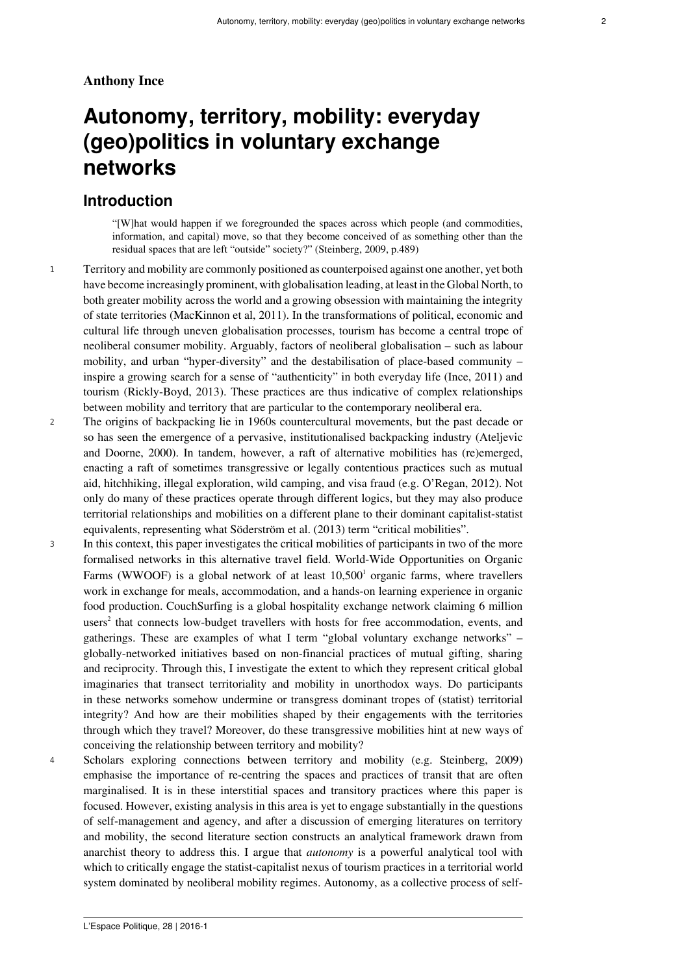#### **Anthony Ince**

# **Autonomy, territory, mobility: everyday (geo)politics in voluntary exchange networks**

#### **Introduction**

"[W]hat would happen if we foregrounded the spaces across which people (and commodities, information, and capital) move, so that they become conceived of as something other than the residual spaces that are left "outside" society?" (Steinberg, 2009, p.489)

- <sup>1</sup> Territory and mobility are commonly positioned as counterpoised against one another, yet both have become increasingly prominent, with globalisation leading, at least in the Global North, to both greater mobility across the world and a growing obsession with maintaining the integrity of state territories (MacKinnon et al, 2011). In the transformations of political, economic and cultural life through uneven globalisation processes, tourism has become a central trope of neoliberal consumer mobility. Arguably, factors of neoliberal globalisation – such as labour mobility, and urban "hyper-diversity" and the destabilisation of place-based community – inspire a growing search for a sense of "authenticity" in both everyday life (Ince, 2011) and tourism (Rickly-Boyd, 2013). These practices are thus indicative of complex relationships between mobility and territory that are particular to the contemporary neoliberal era.
- <sup>2</sup> The origins of backpacking lie in 1960s countercultural movements, but the past decade or so has seen the emergence of a pervasive, institutionalised backpacking industry (Ateljevic and Doorne, 2000). In tandem, however, a raft of alternative mobilities has (re)emerged, enacting a raft of sometimes transgressive or legally contentious practices such as mutual aid, hitchhiking, illegal exploration, wild camping, and visa fraud (e.g. O'Regan, 2012). Not only do many of these practices operate through different logics, but they may also produce territorial relationships and mobilities on a different plane to their dominant capitalist-statist equivalents, representing what Söderström et al. (2013) term "critical mobilities".
- <span id="page-1-1"></span><span id="page-1-0"></span><sup>3</sup> In this context, this paper investigates the critical mobilities of participants in two of the more formalised networks in this alternative travel field. World-Wide Opportunities on Organic Farms (WWOOF) is a global network of at least  $10,500<sup>1</sup>$  $10,500<sup>1</sup>$  organic farms, where travellers work in exchange for meals, accommodation, and a hands-on learning experience in organic food production. CouchSurfing is a global hospitality exchange network claiming 6 million  $users<sup>2</sup>$  $users<sup>2</sup>$  $users<sup>2</sup>$  that connects low-budget travellers with hosts for free accommodation, events, and gatherings. These are examples of what I term "global voluntary exchange networks" – globally-networked initiatives based on non-financial practices of mutual gifting, sharing and reciprocity. Through this, I investigate the extent to which they represent critical global imaginaries that transect territoriality and mobility in unorthodox ways. Do participants in these networks somehow undermine or transgress dominant tropes of (statist) territorial integrity? And how are their mobilities shaped by their engagements with the territories through which they travel? Moreover, do these transgressive mobilities hint at new ways of conceiving the relationship between territory and mobility?
- <sup>4</sup> Scholars exploring connections between territory and mobility (e.g. Steinberg, 2009) emphasise the importance of re-centring the spaces and practices of transit that are often marginalised. It is in these interstitial spaces and transitory practices where this paper is focused. However, existing analysis in this area is yet to engage substantially in the questions of self-management and agency, and after a discussion of emerging literatures on territory and mobility, the second literature section constructs an analytical framework drawn from anarchist theory to address this. I argue that *autonomy* is a powerful analytical tool with which to critically engage the statist-capitalist nexus of tourism practices in a territorial world system dominated by neoliberal mobility regimes. Autonomy, as a collective process of self-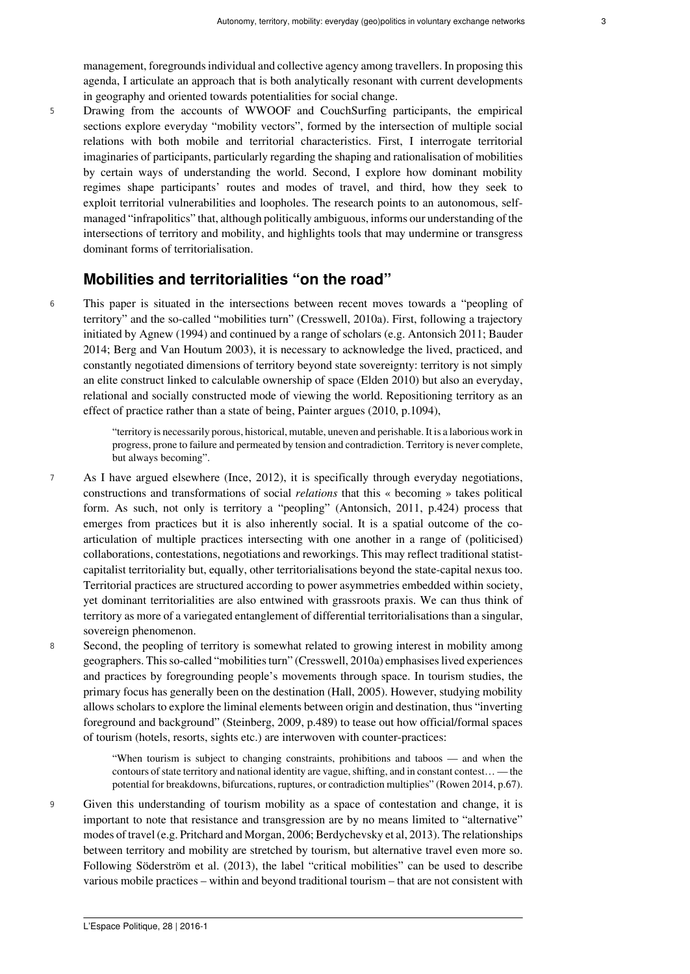management, foregrounds individual and collective agency among travellers. In proposing this agenda, I articulate an approach that is both analytically resonant with current developments in geography and oriented towards potentialities for social change.

<sup>5</sup> Drawing from the accounts of WWOOF and CouchSurfing participants, the empirical sections explore everyday "mobility vectors", formed by the intersection of multiple social relations with both mobile and territorial characteristics. First, I interrogate territorial imaginaries of participants, particularly regarding the shaping and rationalisation of mobilities by certain ways of understanding the world. Second, I explore how dominant mobility regimes shape participants' routes and modes of travel, and third, how they seek to exploit territorial vulnerabilities and loopholes. The research points to an autonomous, selfmanaged "infrapolitics" that, although politically ambiguous, informs our understanding of the intersections of territory and mobility, and highlights tools that may undermine or transgress dominant forms of territorialisation.

# **Mobilities and territorialities "on the road"**

<sup>6</sup> This paper is situated in the intersections between recent moves towards a "peopling of territory" and the so-called "mobilities turn" (Cresswell, 2010a). First, following a trajectory initiated by Agnew (1994) and continued by a range of scholars (e.g. Antonsich 2011; Bauder 2014; Berg and Van Houtum 2003), it is necessary to acknowledge the lived, practiced, and constantly negotiated dimensions of territory beyond state sovereignty: territory is not simply an elite construct linked to calculable ownership of space (Elden 2010) but also an everyday, relational and socially constructed mode of viewing the world. Repositioning territory as an effect of practice rather than a state of being, Painter argues (2010, p.1094),

> "territory is necessarily porous, historical, mutable, uneven and perishable. It is a laborious work in progress, prone to failure and permeated by tension and contradiction. Territory is never complete, but always becoming".

- <sup>7</sup> As I have argued elsewhere (Ince, 2012), it is specifically through everyday negotiations, constructions and transformations of social *relations* that this « becoming » takes political form. As such, not only is territory a "peopling" (Antonsich, 2011, p.424) process that emerges from practices but it is also inherently social. It is a spatial outcome of the coarticulation of multiple practices intersecting with one another in a range of (politicised) collaborations, contestations, negotiations and reworkings. This may reflect traditional statistcapitalist territoriality but, equally, other territorialisations beyond the state-capital nexus too. Territorial practices are structured according to power asymmetries embedded within society, yet dominant territorialities are also entwined with grassroots praxis. We can thus think of territory as more of a variegated entanglement of differential territorialisations than a singular, sovereign phenomenon.
- <sup>8</sup> Second, the peopling of territory is somewhat related to growing interest in mobility among geographers. This so-called "mobilities turn" (Cresswell, 2010a) emphasises lived experiences and practices by foregrounding people's movements through space. In tourism studies, the primary focus has generally been on the destination (Hall, 2005). However, studying mobility allows scholars to explore the liminal elements between origin and destination, thus "inverting foreground and background" (Steinberg, 2009, p.489) to tease out how official/formal spaces of tourism (hotels, resorts, sights etc.) are interwoven with counter-practices:

"When tourism is subject to changing constraints, prohibitions and taboos — and when the contours of state territory and national identity are vague, shifting, and in constant contest… — the potential for breakdowns, bifurcations, ruptures, or contradiction multiplies" (Rowen 2014, p.67).

<sup>9</sup> Given this understanding of tourism mobility as a space of contestation and change, it is important to note that resistance and transgression are by no means limited to "alternative" modes of travel (e.g. Pritchard and Morgan, 2006; Berdychevsky et al, 2013). The relationships between territory and mobility are stretched by tourism, but alternative travel even more so. Following Söderström et al. (2013), the label "critical mobilities" can be used to describe various mobile practices – within and beyond traditional tourism – that are not consistent with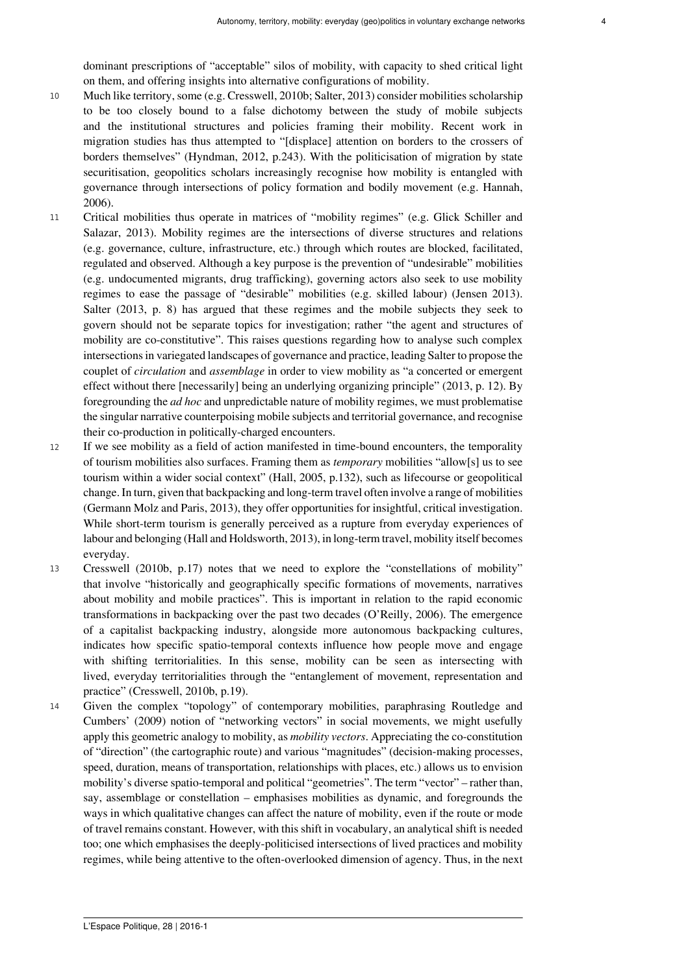dominant prescriptions of "acceptable" silos of mobility, with capacity to shed critical light on them, and offering insights into alternative configurations of mobility.

- <sup>10</sup> Much like territory, some (e.g. Cresswell, 2010b; Salter, 2013) consider mobilities scholarship to be too closely bound to a false dichotomy between the study of mobile subjects and the institutional structures and policies framing their mobility. Recent work in migration studies has thus attempted to "[displace] attention on borders to the crossers of borders themselves" (Hyndman, 2012, p.243). With the politicisation of migration by state securitisation, geopolitics scholars increasingly recognise how mobility is entangled with governance through intersections of policy formation and bodily movement (e.g. Hannah, 2006).
- <sup>11</sup> Critical mobilities thus operate in matrices of "mobility regimes" (e.g. Glick Schiller and Salazar, 2013). Mobility regimes are the intersections of diverse structures and relations (e.g. governance, culture, infrastructure, etc.) through which routes are blocked, facilitated, regulated and observed. Although a key purpose is the prevention of "undesirable" mobilities (e.g. undocumented migrants, drug trafficking), governing actors also seek to use mobility regimes to ease the passage of "desirable" mobilities (e.g. skilled labour) (Jensen 2013). Salter (2013, p. 8) has argued that these regimes and the mobile subjects they seek to govern should not be separate topics for investigation; rather "the agent and structures of mobility are co-constitutive". This raises questions regarding how to analyse such complex intersections in variegated landscapes of governance and practice, leading Salter to propose the couplet of *circulation* and *assemblage* in order to view mobility as "a concerted or emergent effect without there [necessarily] being an underlying organizing principle" (2013, p. 12). By foregrounding the *ad hoc* and unpredictable nature of mobility regimes, we must problematise the singular narrative counterpoising mobile subjects and territorial governance, and recognise their co-production in politically-charged encounters.
- <sup>12</sup> If we see mobility as a field of action manifested in time-bound encounters, the temporality of tourism mobilities also surfaces. Framing them as *temporary* mobilities "allow[s] us to see tourism within a wider social context" (Hall, 2005, p.132), such as lifecourse or geopolitical change. In turn, given that backpacking and long-term travel often involve a range of mobilities (Germann Molz and Paris, 2013), they offer opportunities for insightful, critical investigation. While short-term tourism is generally perceived as a rupture from everyday experiences of labour and belonging (Hall and Holdsworth, 2013), in long-term travel, mobility itself becomes everyday.
- <sup>13</sup> Cresswell (2010b, p.17) notes that we need to explore the "constellations of mobility" that involve "historically and geographically specific formations of movements, narratives about mobility and mobile practices". This is important in relation to the rapid economic transformations in backpacking over the past two decades (O'Reilly, 2006). The emergence of a capitalist backpacking industry, alongside more autonomous backpacking cultures, indicates how specific spatio-temporal contexts influence how people move and engage with shifting territorialities. In this sense, mobility can be seen as intersecting with lived, everyday territorialities through the "entanglement of movement, representation and practice" (Cresswell, 2010b, p.19).
- <sup>14</sup> Given the complex "topology" of contemporary mobilities, paraphrasing Routledge and Cumbers' (2009) notion of "networking vectors" in social movements, we might usefully apply this geometric analogy to mobility, as *mobility vectors*. Appreciating the co-constitution of "direction" (the cartographic route) and various "magnitudes" (decision-making processes, speed, duration, means of transportation, relationships with places, etc.) allows us to envision mobility's diverse spatio-temporal and political "geometries". The term "vector" – rather than, say, assemblage or constellation – emphasises mobilities as dynamic, and foregrounds the ways in which qualitative changes can affect the nature of mobility, even if the route or mode of travel remains constant. However, with this shift in vocabulary, an analytical shift is needed too; one which emphasises the deeply-politicised intersections of lived practices and mobility regimes, while being attentive to the often-overlooked dimension of agency. Thus, in the next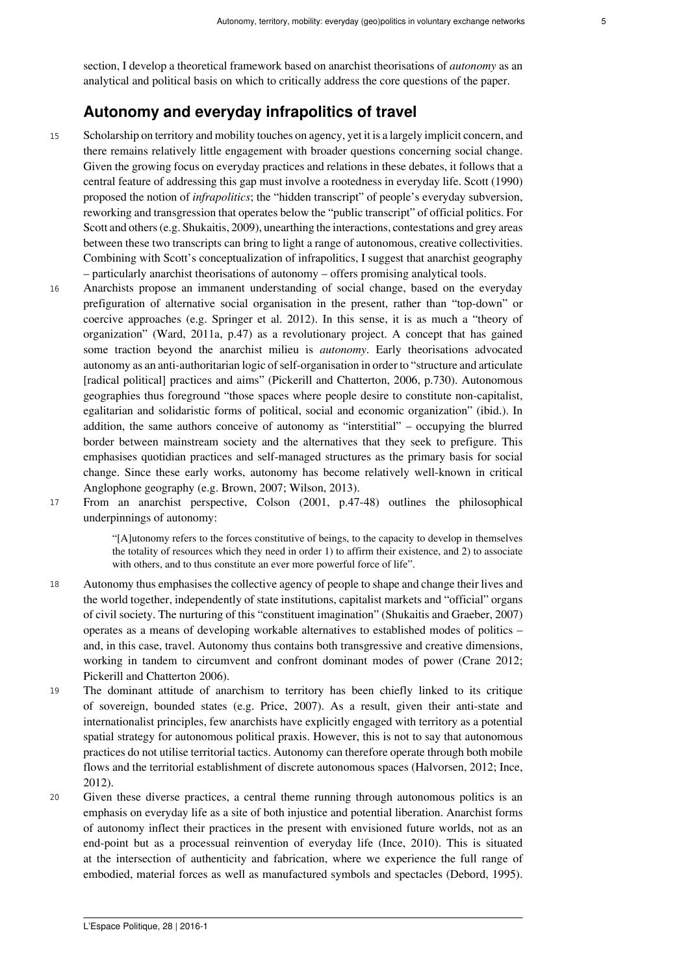section, I develop a theoretical framework based on anarchist theorisations of *autonomy* as an analytical and political basis on which to critically address the core questions of the paper.

# **Autonomy and everyday infrapolitics of travel**

- <sup>15</sup> Scholarship on territory and mobility touches on agency, yet it is a largely implicit concern, and there remains relatively little engagement with broader questions concerning social change. Given the growing focus on everyday practices and relations in these debates, it follows that a central feature of addressing this gap must involve a rootedness in everyday life. Scott (1990) proposed the notion of *infrapolitics*; the "hidden transcript" of people's everyday subversion, reworking and transgression that operates below the "public transcript" of official politics. For Scott and others (e.g. Shukaitis, 2009), unearthing the interactions, contestations and grey areas between these two transcripts can bring to light a range of autonomous, creative collectivities. Combining with Scott's conceptualization of infrapolitics, I suggest that anarchist geography – particularly anarchist theorisations of autonomy – offers promising analytical tools.
- <sup>16</sup> Anarchists propose an immanent understanding of social change, based on the everyday prefiguration of alternative social organisation in the present, rather than "top-down" or coercive approaches (e.g. Springer et al. 2012). In this sense, it is as much a "theory of organization" (Ward, 2011a, p.47) as a revolutionary project. A concept that has gained some traction beyond the anarchist milieu is *autonomy*. Early theorisations advocated autonomy as an anti-authoritarian logic of self-organisation in order to "structure and articulate [radical political] practices and aims" (Pickerill and Chatterton, 2006, p.730). Autonomous geographies thus foreground "those spaces where people desire to constitute non-capitalist, egalitarian and solidaristic forms of political, social and economic organization" (ibid.). In addition, the same authors conceive of autonomy as "interstitial" – occupying the blurred border between mainstream society and the alternatives that they seek to prefigure. This emphasises quotidian practices and self-managed structures as the primary basis for social change. Since these early works, autonomy has become relatively well-known in critical Anglophone geography (e.g. Brown, 2007; Wilson, 2013).
- <sup>17</sup> From an anarchist perspective, Colson (2001, p.47-48) outlines the philosophical underpinnings of autonomy:

"[A]utonomy refers to the forces constitutive of beings, to the capacity to develop in themselves the totality of resources which they need in order 1) to affirm their existence, and 2) to associate with others, and to thus constitute an ever more powerful force of life".

- <sup>18</sup> Autonomy thus emphasises the collective agency of people to shape and change their lives and the world together, independently of state institutions, capitalist markets and "official" organs of civil society. The nurturing of this "constituent imagination" (Shukaitis and Graeber, 2007) operates as a means of developing workable alternatives to established modes of politics – and, in this case, travel. Autonomy thus contains both transgressive and creative dimensions, working in tandem to circumvent and confront dominant modes of power (Crane 2012; Pickerill and Chatterton 2006).
- <sup>19</sup> The dominant attitude of anarchism to territory has been chiefly linked to its critique of sovereign, bounded states (e.g. Price, 2007). As a result, given their anti-state and internationalist principles, few anarchists have explicitly engaged with territory as a potential spatial strategy for autonomous political praxis. However, this is not to say that autonomous practices do not utilise territorial tactics. Autonomy can therefore operate through both mobile flows and the territorial establishment of discrete autonomous spaces (Halvorsen, 2012; Ince, 2012).
- <sup>20</sup> Given these diverse practices, a central theme running through autonomous politics is an emphasis on everyday life as a site of both injustice and potential liberation. Anarchist forms of autonomy inflect their practices in the present with envisioned future worlds, not as an end-point but as a processual reinvention of everyday life (Ince, 2010). This is situated at the intersection of authenticity and fabrication, where we experience the full range of embodied, material forces as well as manufactured symbols and spectacles (Debord, 1995).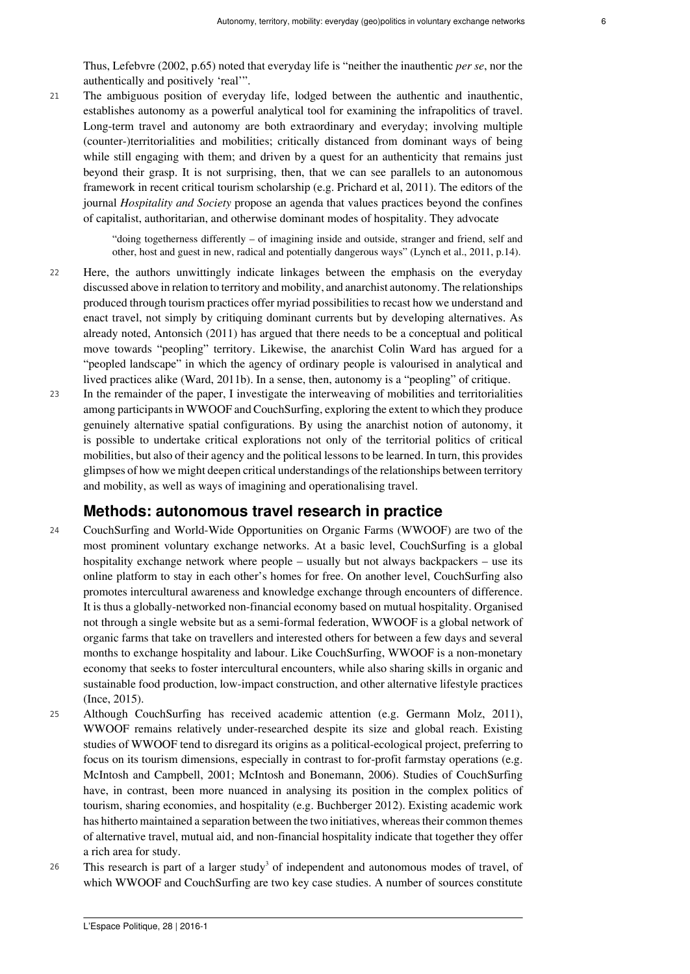Thus, Lefebvre (2002, p.65) noted that everyday life is "neither the inauthentic *per se*, nor the authentically and positively 'real'".

<sup>21</sup> The ambiguous position of everyday life, lodged between the authentic and inauthentic, establishes autonomy as a powerful analytical tool for examining the infrapolitics of travel. Long-term travel and autonomy are both extraordinary and everyday; involving multiple (counter-)territorialities and mobilities; critically distanced from dominant ways of being while still engaging with them; and driven by a quest for an authenticity that remains just beyond their grasp. It is not surprising, then, that we can see parallels to an autonomous framework in recent critical tourism scholarship (e.g. Prichard et al, 2011). The editors of the journal *Hospitality and Society* propose an agenda that values practices beyond the confines of capitalist, authoritarian, and otherwise dominant modes of hospitality. They advocate

> "doing togetherness differently – of imagining inside and outside, stranger and friend, self and other, host and guest in new, radical and potentially dangerous ways" (Lynch et al., 2011, p.14).

- <sup>22</sup> Here, the authors unwittingly indicate linkages between the emphasis on the everyday discussed above in relation to territory and mobility, and anarchist autonomy. The relationships produced through tourism practices offer myriad possibilities to recast how we understand and enact travel, not simply by critiquing dominant currents but by developing alternatives. As already noted, Antonsich (2011) has argued that there needs to be a conceptual and political move towards "peopling" territory. Likewise, the anarchist Colin Ward has argued for a "peopled landscape" in which the agency of ordinary people is valourised in analytical and lived practices alike (Ward, 2011b). In a sense, then, autonomy is a "peopling" of critique.
- <sup>23</sup> In the remainder of the paper, I investigate the interweaving of mobilities and territorialities among participants in WWOOF and CouchSurfing, exploring the extent to which they produce genuinely alternative spatial configurations. By using the anarchist notion of autonomy, it is possible to undertake critical explorations not only of the territorial politics of critical mobilities, but also of their agency and the political lessons to be learned. In turn, this provides glimpses of how we might deepen critical understandings of the relationships between territory and mobility, as well as ways of imagining and operationalising travel.

#### **Methods: autonomous travel research in practice**

- <sup>24</sup> CouchSurfing and World-Wide Opportunities on Organic Farms (WWOOF) are two of the most prominent voluntary exchange networks. At a basic level, CouchSurfing is a global hospitality exchange network where people – usually but not always backpackers – use its online platform to stay in each other's homes for free. On another level, CouchSurfing also promotes intercultural awareness and knowledge exchange through encounters of difference. It is thus a globally-networked non-financial economy based on mutual hospitality. Organised not through a single website but as a semi-formal federation, WWOOF is a global network of organic farms that take on travellers and interested others for between a few days and several months to exchange hospitality and labour. Like CouchSurfing, WWOOF is a non-monetary economy that seeks to foster intercultural encounters, while also sharing skills in organic and sustainable food production, low-impact construction, and other alternative lifestyle practices (Ince, 2015).
- <sup>25</sup> Although CouchSurfing has received academic attention (e.g. Germann Molz, 2011), WWOOF remains relatively under-researched despite its size and global reach. Existing studies of WWOOF tend to disregard its origins as a political-ecological project, preferring to focus on its tourism dimensions, especially in contrast to for-profit farmstay operations (e.g. McIntosh and Campbell, 2001; McIntosh and Bonemann, 2006). Studies of CouchSurfing have, in contrast, been more nuanced in analysing its position in the complex politics of tourism, sharing economies, and hospitality (e.g. Buchberger 2012). Existing academic work has hitherto maintained a separation between the two initiatives, whereas their common themes of alternative travel, mutual aid, and non-financial hospitality indicate that together they offer a rich area for study.
- <span id="page-5-0"></span> $26$  This research is part of a larger study<sup>[3](#page-14-2)</sup> of independent and autonomous modes of travel, of which WWOOF and CouchSurfing are two key case studies. A number of sources constitute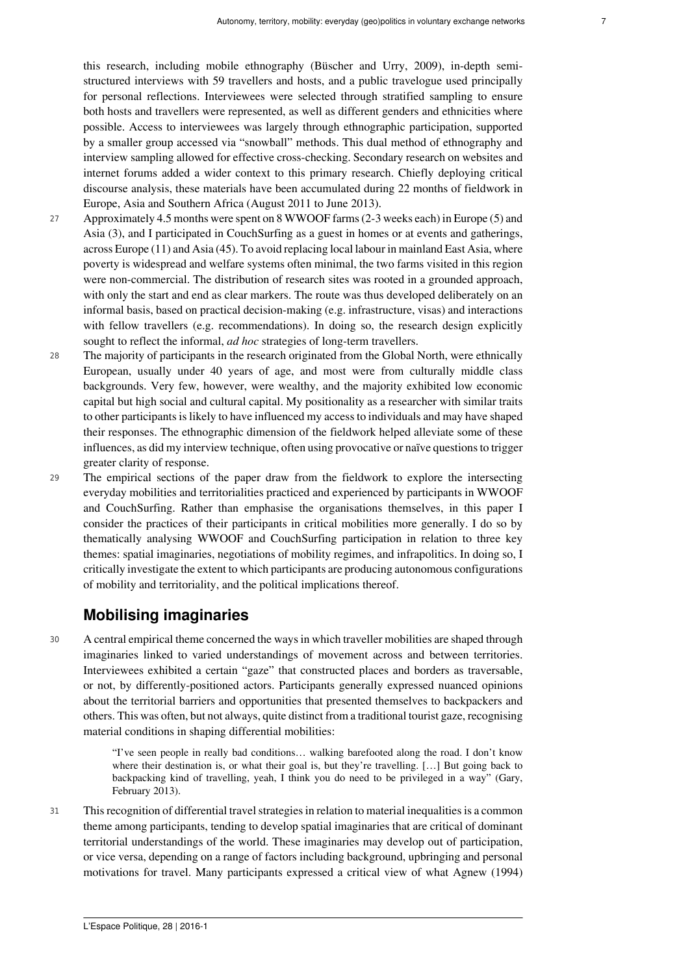this research, including mobile ethnography (Büscher and Urry, 2009), in-depth semistructured interviews with 59 travellers and hosts, and a public travelogue used principally for personal reflections. Interviewees were selected through stratified sampling to ensure both hosts and travellers were represented, as well as different genders and ethnicities where possible. Access to interviewees was largely through ethnographic participation, supported by a smaller group accessed via "snowball" methods. This dual method of ethnography and interview sampling allowed for effective cross-checking. Secondary research on websites and internet forums added a wider context to this primary research. Chiefly deploying critical discourse analysis, these materials have been accumulated during 22 months of fieldwork in Europe, Asia and Southern Africa (August 2011 to June 2013).

- <sup>27</sup> Approximately 4.5 months were spent on 8 WWOOF farms (2-3 weeks each) in Europe (5) and Asia (3), and I participated in CouchSurfing as a guest in homes or at events and gatherings, across Europe (11) and Asia (45). To avoid replacing local labour in mainland East Asia, where poverty is widespread and welfare systems often minimal, the two farms visited in this region were non-commercial. The distribution of research sites was rooted in a grounded approach, with only the start and end as clear markers. The route was thus developed deliberately on an informal basis, based on practical decision-making (e.g. infrastructure, visas) and interactions with fellow travellers (e.g. recommendations). In doing so, the research design explicitly sought to reflect the informal, *ad hoc* strategies of long-term travellers.
- <sup>28</sup> The majority of participants in the research originated from the Global North, were ethnically European, usually under 40 years of age, and most were from culturally middle class backgrounds. Very few, however, were wealthy, and the majority exhibited low economic capital but high social and cultural capital. My positionality as a researcher with similar traits to other participants is likely to have influenced my access to individuals and may have shaped their responses. The ethnographic dimension of the fieldwork helped alleviate some of these influences, as did my interview technique, often using provocative or naïve questions to trigger greater clarity of response.
- <sup>29</sup> The empirical sections of the paper draw from the fieldwork to explore the intersecting everyday mobilities and territorialities practiced and experienced by participants in WWOOF and CouchSurfing. Rather than emphasise the organisations themselves, in this paper I consider the practices of their participants in critical mobilities more generally. I do so by thematically analysing WWOOF and CouchSurfing participation in relation to three key themes: spatial imaginaries, negotiations of mobility regimes, and infrapolitics. In doing so, I critically investigate the extent to which participants are producing autonomous configurations of mobility and territoriality, and the political implications thereof.

# **Mobilising imaginaries**

<sup>30</sup> A central empirical theme concerned the ways in which traveller mobilities are shaped through imaginaries linked to varied understandings of movement across and between territories. Interviewees exhibited a certain "gaze" that constructed places and borders as traversable, or not, by differently-positioned actors. Participants generally expressed nuanced opinions about the territorial barriers and opportunities that presented themselves to backpackers and others. This was often, but not always, quite distinct from a traditional tourist gaze, recognising material conditions in shaping differential mobilities:

> "I've seen people in really bad conditions… walking barefooted along the road. I don't know where their destination is, or what their goal is, but they're travelling. [...] But going back to backpacking kind of travelling, yeah, I think you do need to be privileged in a way" (Gary, February 2013).

<sup>31</sup> This recognition of differential travel strategies in relation to material inequalities is a common theme among participants, tending to develop spatial imaginaries that are critical of dominant territorial understandings of the world. These imaginaries may develop out of participation, or vice versa, depending on a range of factors including background, upbringing and personal motivations for travel. Many participants expressed a critical view of what Agnew (1994)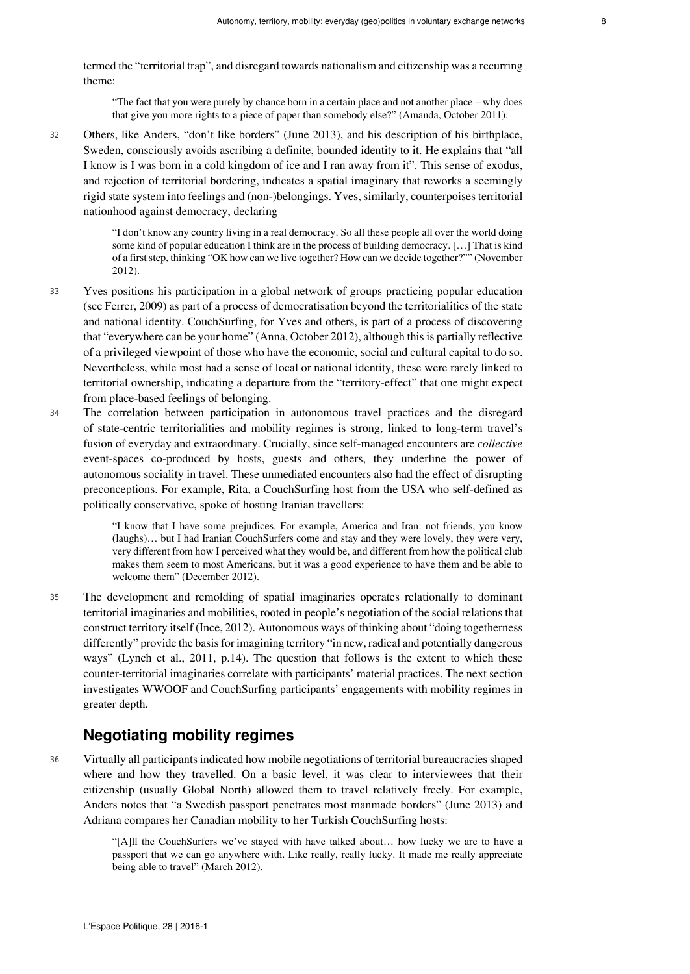termed the "territorial trap", and disregard towards nationalism and citizenship was a recurring theme:

"The fact that you were purely by chance born in a certain place and not another place – why does that give you more rights to a piece of paper than somebody else?" (Amanda, October 2011).

<sup>32</sup> Others, like Anders, "don't like borders" (June 2013), and his description of his birthplace, Sweden, consciously avoids ascribing a definite, bounded identity to it. He explains that "all I know is I was born in a cold kingdom of ice and I ran away from it". This sense of exodus, and rejection of territorial bordering, indicates a spatial imaginary that reworks a seemingly rigid state system into feelings and (non-)belongings. Yves, similarly, counterpoises territorial nationhood against democracy, declaring

> "I don't know any country living in a real democracy. So all these people all over the world doing some kind of popular education I think are in the process of building democracy. […] That is kind of a first step, thinking "OK how can we live together? How can we decide together?"" (November 2012).

- <sup>33</sup> Yves positions his participation in a global network of groups practicing popular education (see Ferrer, 2009) as part of a process of democratisation beyond the territorialities of the state and national identity. CouchSurfing, for Yves and others, is part of a process of discovering that "everywhere can be your home" (Anna, October 2012), although this is partially reflective of a privileged viewpoint of those who have the economic, social and cultural capital to do so. Nevertheless, while most had a sense of local or national identity, these were rarely linked to territorial ownership, indicating a departure from the "territory-effect" that one might expect from place-based feelings of belonging.
- <sup>34</sup> The correlation between participation in autonomous travel practices and the disregard of state-centric territorialities and mobility regimes is strong, linked to long-term travel's fusion of everyday and extraordinary. Crucially, since self-managed encounters are *collective* event-spaces co-produced by hosts, guests and others, they underline the power of autonomous sociality in travel. These unmediated encounters also had the effect of disrupting preconceptions. For example, Rita, a CouchSurfing host from the USA who self-defined as politically conservative, spoke of hosting Iranian travellers:

"I know that I have some prejudices. For example, America and Iran: not friends, you know (laughs)… but I had Iranian CouchSurfers come and stay and they were lovely, they were very, very different from how I perceived what they would be, and different from how the political club makes them seem to most Americans, but it was a good experience to have them and be able to welcome them" (December 2012).

<sup>35</sup> The development and remolding of spatial imaginaries operates relationally to dominant territorial imaginaries and mobilities, rooted in people's negotiation of the social relations that construct territory itself (Ince, 2012). Autonomous ways of thinking about "doing togetherness differently" provide the basis for imagining territory "in new, radical and potentially dangerous ways" (Lynch et al., 2011, p.14). The question that follows is the extent to which these counter-territorial imaginaries correlate with participants' material practices. The next section investigates WWOOF and CouchSurfing participants' engagements with mobility regimes in greater depth.

### **Negotiating mobility regimes**

<sup>36</sup> Virtually all participants indicated how mobile negotiations of territorial bureaucracies shaped where and how they travelled. On a basic level, it was clear to interviewees that their citizenship (usually Global North) allowed them to travel relatively freely. For example, Anders notes that "a Swedish passport penetrates most manmade borders" (June 2013) and Adriana compares her Canadian mobility to her Turkish CouchSurfing hosts:

> "[A]ll the CouchSurfers we've stayed with have talked about… how lucky we are to have a passport that we can go anywhere with. Like really, really lucky. It made me really appreciate being able to travel" (March 2012).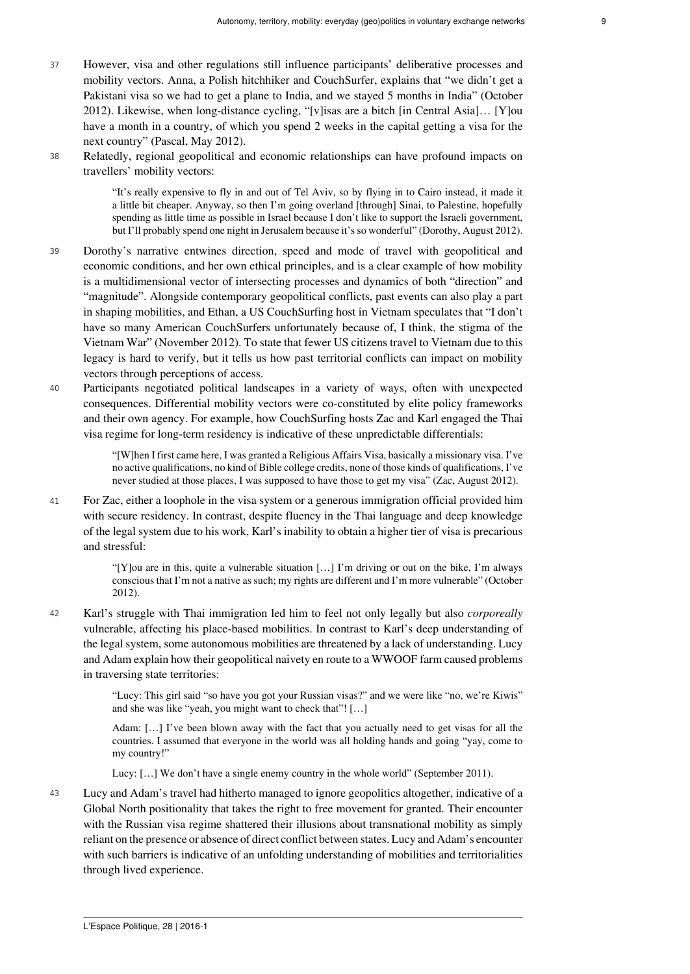- <sup>37</sup> However, visa and other regulations still influence participants' deliberative processes and mobility vectors. Anna, a Polish hitchhiker and CouchSurfer, explains that "we didn't get a Pakistani visa so we had to get a plane to India, and we stayed 5 months in India" (October 2012). Likewise, when long-distance cycling, "[v]isas are a bitch [in Central Asia]… [Y]ou have a month in a country, of which you spend 2 weeks in the capital getting a visa for the next country" (Pascal, May 2012).
- <sup>38</sup> Relatedly, regional geopolitical and economic relationships can have profound impacts on travellers' mobility vectors:

"It's really expensive to fly in and out of Tel Aviv, so by flying in to Cairo instead, it made it a little bit cheaper. Anyway, so then I'm going overland [through] Sinai, to Palestine, hopefully spending as little time as possible in Israel because I don't like to support the Israeli government, but I'll probably spend one night in Jerusalem because it's so wonderful" (Dorothy, August 2012).

- <sup>39</sup> Dorothy's narrative entwines direction, speed and mode of travel with geopolitical and economic conditions, and her own ethical principles, and is a clear example of how mobility is a multidimensional vector of intersecting processes and dynamics of both "direction" and "magnitude". Alongside contemporary geopolitical conflicts, past events can also play a part in shaping mobilities, and Ethan, a US CouchSurfing host in Vietnam speculates that "I don't have so many American CouchSurfers unfortunately because of, I think, the stigma of the Vietnam War" (November 2012). To state that fewer US citizens travel to Vietnam due to this legacy is hard to verify, but it tells us how past territorial conflicts can impact on mobility vectors through perceptions of access.
- <sup>40</sup> Participants negotiated political landscapes in a variety of ways, often with unexpected consequences. Differential mobility vectors were co-constituted by elite policy frameworks and their own agency. For example, how CouchSurfing hosts Zac and Karl engaged the Thai visa regime for long-term residency is indicative of these unpredictable differentials:

"[W]hen I first came here, I was granted a Religious Affairs Visa, basically a missionary visa. I've no active qualifications, no kind of Bible college credits, none of those kinds of qualifications, I've never studied at those places, I was supposed to have those to get my visa" (Zac, August 2012).

<sup>41</sup> For Zac, either a loophole in the visa system or a generous immigration official provided him with secure residency. In contrast, despite fluency in the Thai language and deep knowledge of the legal system due to his work, Karl's inability to obtain a higher tier of visa is precarious and stressful:

> "[Y]ou are in this, quite a vulnerable situation […] I'm driving or out on the bike, I'm always conscious that I'm not a native as such; my rights are different and I'm more vulnerable" (October 2012).

<sup>42</sup> Karl's struggle with Thai immigration led him to feel not only legally but also *corporeally* vulnerable, affecting his place-based mobilities. In contrast to Karl's deep understanding of the legal system, some autonomous mobilities are threatened by a lack of understanding. Lucy and Adam explain how their geopolitical naivety en route to a WWOOF farm caused problems in traversing state territories:

> "Lucy: This girl said "so have you got your Russian visas?" and we were like "no, we're Kiwis" and she was like "yeah, you might want to check that"! […]

> Adam: […] I've been blown away with the fact that you actually need to get visas for all the countries. I assumed that everyone in the world was all holding hands and going "yay, come to my country!"

Lucy: […] We don't have a single enemy country in the whole world" (September 2011).

<sup>43</sup> Lucy and Adam's travel had hitherto managed to ignore geopolitics altogether, indicative of a Global North positionality that takes the right to free movement for granted. Their encounter with the Russian visa regime shattered their illusions about transnational mobility as simply reliant on the presence or absence of direct conflict between states. Lucy and Adam's encounter with such barriers is indicative of an unfolding understanding of mobilities and territorialities through lived experience.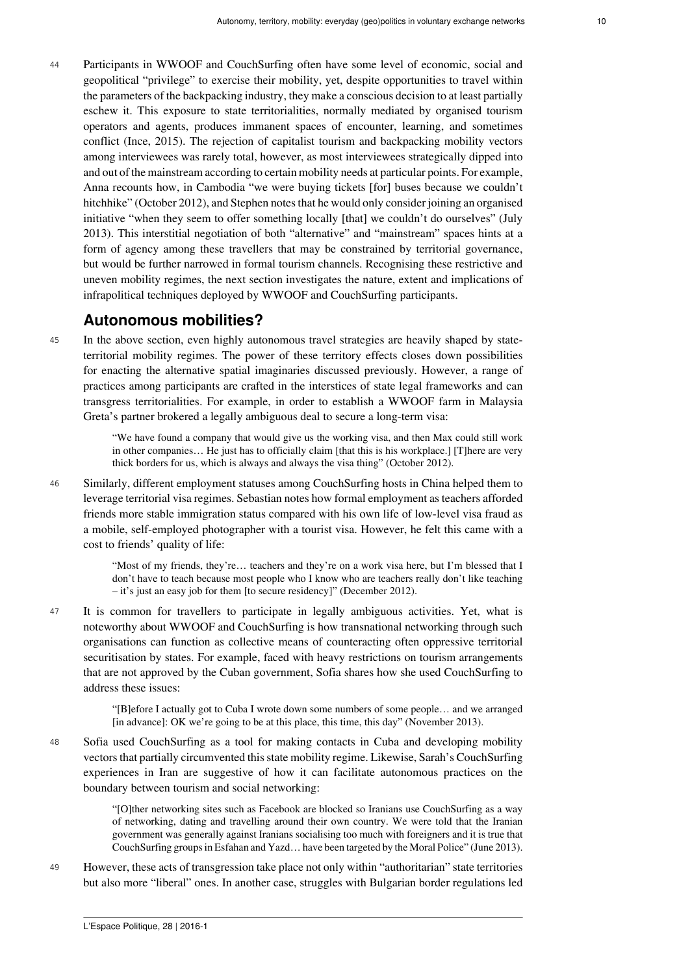<sup>44</sup> Participants in WWOOF and CouchSurfing often have some level of economic, social and geopolitical "privilege" to exercise their mobility, yet, despite opportunities to travel within the parameters of the backpacking industry, they make a conscious decision to at least partially eschew it. This exposure to state territorialities, normally mediated by organised tourism operators and agents, produces immanent spaces of encounter, learning, and sometimes conflict (Ince, 2015). The rejection of capitalist tourism and backpacking mobility vectors among interviewees was rarely total, however, as most interviewees strategically dipped into and out of the mainstream according to certain mobility needs at particular points. For example, Anna recounts how, in Cambodia "we were buying tickets [for] buses because we couldn't hitchhike" (October 2012), and Stephen notes that he would only consider joining an organised initiative "when they seem to offer something locally [that] we couldn't do ourselves" (July 2013). This interstitial negotiation of both "alternative" and "mainstream" spaces hints at a form of agency among these travellers that may be constrained by territorial governance, but would be further narrowed in formal tourism channels. Recognising these restrictive and uneven mobility regimes, the next section investigates the nature, extent and implications of infrapolitical techniques deployed by WWOOF and CouchSurfing participants.

## **Autonomous mobilities?**

<sup>45</sup> In the above section, even highly autonomous travel strategies are heavily shaped by stateterritorial mobility regimes. The power of these territory effects closes down possibilities for enacting the alternative spatial imaginaries discussed previously. However, a range of practices among participants are crafted in the interstices of state legal frameworks and can transgress territorialities. For example, in order to establish a WWOOF farm in Malaysia Greta's partner brokered a legally ambiguous deal to secure a long-term visa:

> "We have found a company that would give us the working visa, and then Max could still work in other companies… He just has to officially claim [that this is his workplace.] [T]here are very thick borders for us, which is always and always the visa thing" (October 2012).

<sup>46</sup> Similarly, different employment statuses among CouchSurfing hosts in China helped them to leverage territorial visa regimes. Sebastian notes how formal employment as teachers afforded friends more stable immigration status compared with his own life of low-level visa fraud as a mobile, self-employed photographer with a tourist visa. However, he felt this came with a cost to friends' quality of life:

> "Most of my friends, they're… teachers and they're on a work visa here, but I'm blessed that I don't have to teach because most people who I know who are teachers really don't like teaching – it's just an easy job for them [to secure residency]" (December 2012).

<sup>47</sup> It is common for travellers to participate in legally ambiguous activities. Yet, what is noteworthy about WWOOF and CouchSurfing is how transnational networking through such organisations can function as collective means of counteracting often oppressive territorial securitisation by states. For example, faced with heavy restrictions on tourism arrangements that are not approved by the Cuban government, Sofia shares how she used CouchSurfing to address these issues:

> "[B]efore I actually got to Cuba I wrote down some numbers of some people… and we arranged [in advance]: OK we're going to be at this place, this time, this day" (November 2013).

<sup>48</sup> Sofia used CouchSurfing as a tool for making contacts in Cuba and developing mobility vectors that partially circumvented this state mobility regime. Likewise, Sarah's CouchSurfing experiences in Iran are suggestive of how it can facilitate autonomous practices on the boundary between tourism and social networking:

> "[O]ther networking sites such as Facebook are blocked so Iranians use CouchSurfing as a way of networking, dating and travelling around their own country. We were told that the Iranian government was generally against Iranians socialising too much with foreigners and it is true that CouchSurfing groups in Esfahan and Yazd… have been targeted by the Moral Police" (June 2013).

<sup>49</sup> However, these acts of transgression take place not only within "authoritarian" state territories but also more "liberal" ones. In another case, struggles with Bulgarian border regulations led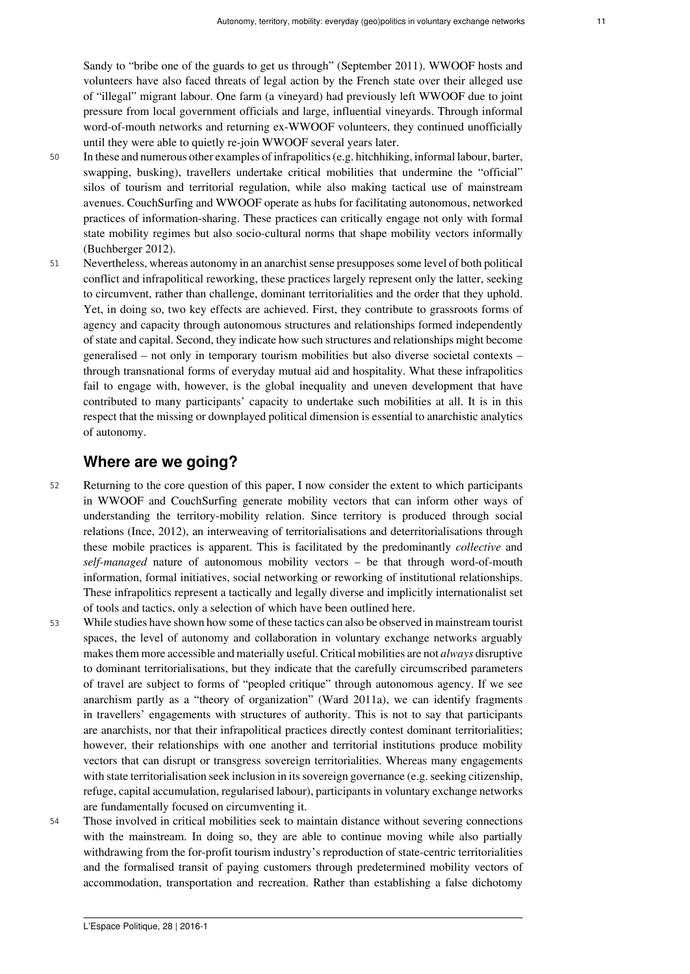Sandy to "bribe one of the guards to get us through" (September 2011). WWOOF hosts and volunteers have also faced threats of legal action by the French state over their alleged use of "illegal" migrant labour. One farm (a vineyard) had previously left WWOOF due to joint pressure from local government officials and large, influential vineyards. Through informal word-of-mouth networks and returning ex-WWOOF volunteers, they continued unofficially until they were able to quietly re-join WWOOF several years later.

- <sup>50</sup> In these and numerous other examples of infrapolitics (e.g. hitchhiking, informal labour, barter, swapping, busking), travellers undertake critical mobilities that undermine the "official" silos of tourism and territorial regulation, while also making tactical use of mainstream avenues. CouchSurfing and WWOOF operate as hubs for facilitating autonomous, networked practices of information-sharing. These practices can critically engage not only with formal state mobility regimes but also socio-cultural norms that shape mobility vectors informally (Buchberger 2012).
- <sup>51</sup> Nevertheless, whereas autonomy in an anarchist sense presupposes some level of both political conflict and infrapolitical reworking, these practices largely represent only the latter, seeking to circumvent, rather than challenge, dominant territorialities and the order that they uphold. Yet, in doing so, two key effects are achieved. First, they contribute to grassroots forms of agency and capacity through autonomous structures and relationships formed independently of state and capital. Second, they indicate how such structures and relationships might become generalised – not only in temporary tourism mobilities but also diverse societal contexts – through transnational forms of everyday mutual aid and hospitality. What these infrapolitics fail to engage with, however, is the global inequality and uneven development that have contributed to many participants' capacity to undertake such mobilities at all. It is in this respect that the missing or downplayed political dimension is essential to anarchistic analytics of autonomy.

### **Where are we going?**

- <sup>52</sup> Returning to the core question of this paper, I now consider the extent to which participants in WWOOF and CouchSurfing generate mobility vectors that can inform other ways of understanding the territory-mobility relation. Since territory is produced through social relations (Ince, 2012), an interweaving of territorialisations and deterritorialisations through these mobile practices is apparent. This is facilitated by the predominantly *collective* and *self-managed* nature of autonomous mobility vectors – be that through word-of-mouth information, formal initiatives, social networking or reworking of institutional relationships. These infrapolitics represent a tactically and legally diverse and implicitly internationalist set of tools and tactics, only a selection of which have been outlined here.
- <sup>53</sup> While studies have shown how some of these tactics can also be observed in mainstream tourist spaces, the level of autonomy and collaboration in voluntary exchange networks arguably makes them more accessible and materially useful. Critical mobilities are not *always* disruptive to dominant territorialisations, but they indicate that the carefully circumscribed parameters of travel are subject to forms of "peopled critique" through autonomous agency. If we see anarchism partly as a "theory of organization" (Ward 2011a), we can identify fragments in travellers' engagements with structures of authority. This is not to say that participants are anarchists, nor that their infrapolitical practices directly contest dominant territorialities; however, their relationships with one another and territorial institutions produce mobility vectors that can disrupt or transgress sovereign territorialities. Whereas many engagements with state territorialisation seek inclusion in its sovereign governance (e.g. seeking citizenship, refuge, capital accumulation, regularised labour), participants in voluntary exchange networks are fundamentally focused on circumventing it.
- <sup>54</sup> Those involved in critical mobilities seek to maintain distance without severing connections with the mainstream. In doing so, they are able to continue moving while also partially withdrawing from the for-profit tourism industry's reproduction of state-centric territorialities and the formalised transit of paying customers through predetermined mobility vectors of accommodation, transportation and recreation. Rather than establishing a false dichotomy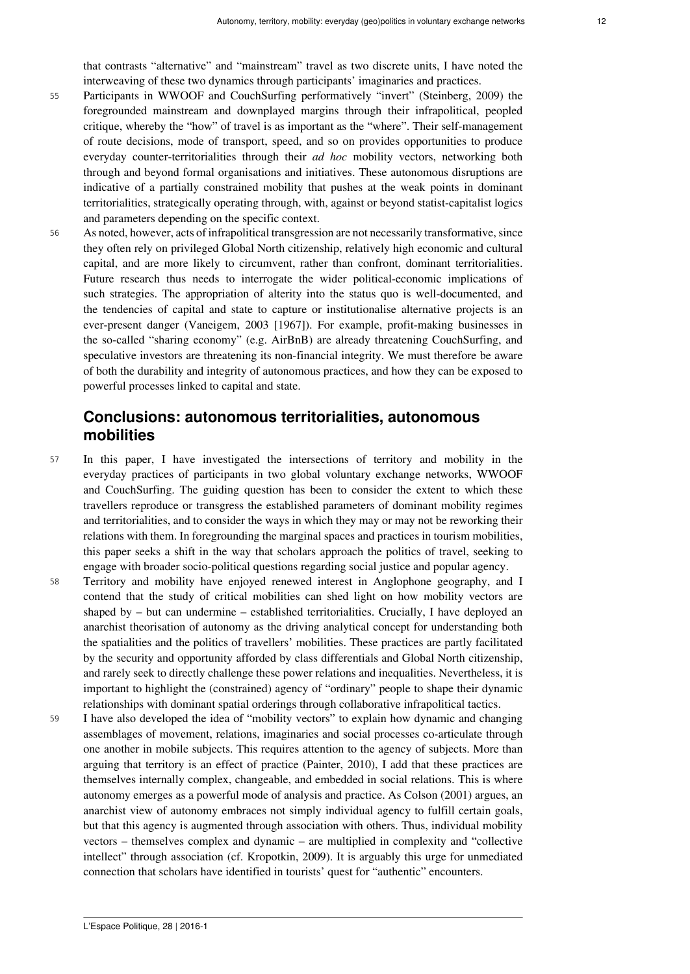that contrasts "alternative" and "mainstream" travel as two discrete units, I have noted the interweaving of these two dynamics through participants' imaginaries and practices.

- <sup>55</sup> Participants in WWOOF and CouchSurfing performatively "invert" (Steinberg, 2009) the foregrounded mainstream and downplayed margins through their infrapolitical, peopled critique, whereby the "how" of travel is as important as the "where". Their self-management of route decisions, mode of transport, speed, and so on provides opportunities to produce everyday counter-territorialities through their *ad hoc* mobility vectors, networking both through and beyond formal organisations and initiatives. These autonomous disruptions are indicative of a partially constrained mobility that pushes at the weak points in dominant territorialities, strategically operating through, with, against or beyond statist-capitalist logics and parameters depending on the specific context.
- <sup>56</sup> As noted, however, acts of infrapolitical transgression are not necessarily transformative, since they often rely on privileged Global North citizenship, relatively high economic and cultural capital, and are more likely to circumvent, rather than confront, dominant territorialities. Future research thus needs to interrogate the wider political-economic implications of such strategies. The appropriation of alterity into the status quo is well-documented, and the tendencies of capital and state to capture or institutionalise alternative projects is an ever-present danger (Vaneigem, 2003 [1967]). For example, profit-making businesses in the so-called "sharing economy" (e.g. AirBnB) are already threatening CouchSurfing, and speculative investors are threatening its non-financial integrity. We must therefore be aware of both the durability and integrity of autonomous practices, and how they can be exposed to powerful processes linked to capital and state.

# **Conclusions: autonomous territorialities, autonomous mobilities**

- <sup>57</sup> In this paper, I have investigated the intersections of territory and mobility in the everyday practices of participants in two global voluntary exchange networks, WWOOF and CouchSurfing. The guiding question has been to consider the extent to which these travellers reproduce or transgress the established parameters of dominant mobility regimes and territorialities, and to consider the ways in which they may or may not be reworking their relations with them. In foregrounding the marginal spaces and practices in tourism mobilities, this paper seeks a shift in the way that scholars approach the politics of travel, seeking to engage with broader socio-political questions regarding social justice and popular agency.
- <sup>58</sup> Territory and mobility have enjoyed renewed interest in Anglophone geography, and I contend that the study of critical mobilities can shed light on how mobility vectors are shaped by – but can undermine – established territorialities. Crucially, I have deployed an anarchist theorisation of autonomy as the driving analytical concept for understanding both the spatialities and the politics of travellers' mobilities. These practices are partly facilitated by the security and opportunity afforded by class differentials and Global North citizenship, and rarely seek to directly challenge these power relations and inequalities. Nevertheless, it is important to highlight the (constrained) agency of "ordinary" people to shape their dynamic relationships with dominant spatial orderings through collaborative infrapolitical tactics.
- <sup>59</sup> I have also developed the idea of "mobility vectors" to explain how dynamic and changing assemblages of movement, relations, imaginaries and social processes co-articulate through one another in mobile subjects. This requires attention to the agency of subjects. More than arguing that territory is an effect of practice (Painter, 2010), I add that these practices are themselves internally complex, changeable, and embedded in social relations. This is where autonomy emerges as a powerful mode of analysis and practice. As Colson (2001) argues, an anarchist view of autonomy embraces not simply individual agency to fulfill certain goals, but that this agency is augmented through association with others. Thus, individual mobility vectors – themselves complex and dynamic – are multiplied in complexity and "collective intellect" through association (cf. Kropotkin, 2009). It is arguably this urge for unmediated connection that scholars have identified in tourists' quest for "authentic" encounters.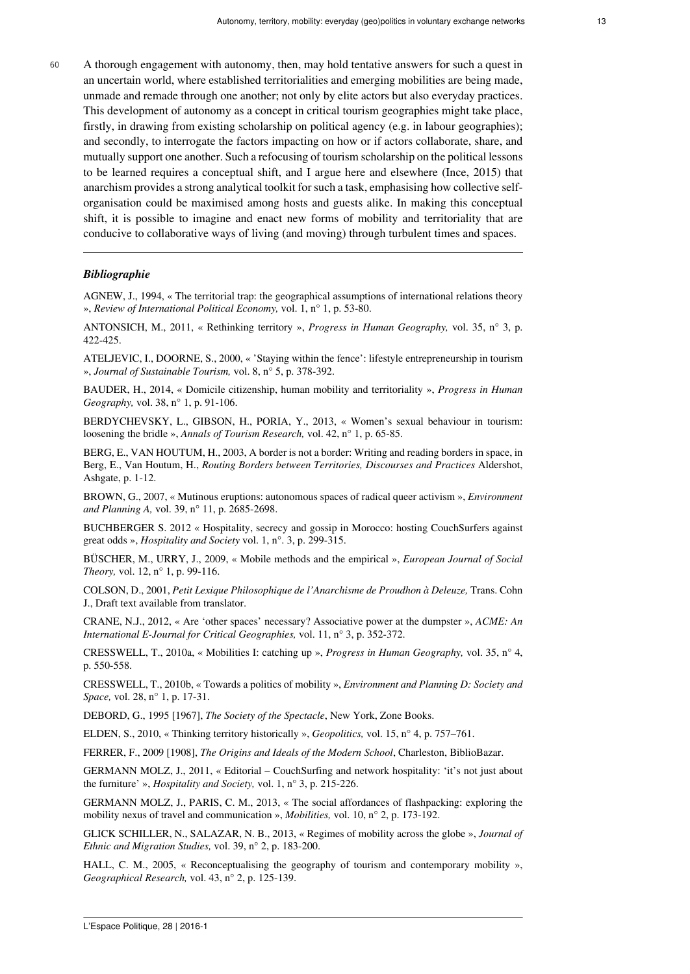<sup>60</sup> A thorough engagement with autonomy, then, may hold tentative answers for such a quest in an uncertain world, where established territorialities and emerging mobilities are being made, unmade and remade through one another; not only by elite actors but also everyday practices. This development of autonomy as a concept in critical tourism geographies might take place, firstly, in drawing from existing scholarship on political agency (e.g. in labour geographies); and secondly, to interrogate the factors impacting on how or if actors collaborate, share, and mutually support one another. Such a refocusing of tourism scholarship on the political lessons to be learned requires a conceptual shift, and I argue here and elsewhere (Ince, 2015) that anarchism provides a strong analytical toolkit for such a task, emphasising how collective selforganisation could be maximised among hosts and guests alike. In making this conceptual shift, it is possible to imagine and enact new forms of mobility and territoriality that are conducive to collaborative ways of living (and moving) through turbulent times and spaces.

#### *Bibliographie*

AGNEW, J., 1994, « The territorial trap: the geographical assumptions of international relations theory », *Review of International Political Economy,* vol. 1, n° 1, p. 53-80.

ANTONSICH, M., 2011, « Rethinking territory », *Progress in Human Geography,* vol. 35, n° 3, p. 422-425.

ATELJEVIC, I., DOORNE, S., 2000, « 'Staying within the fence': lifestyle entrepreneurship in tourism », *Journal of Sustainable Tourism,* vol. 8, n° 5, p. 378-392.

BAUDER, H., 2014, « Domicile citizenship, human mobility and territoriality », *Progress in Human Geography,* vol. 38, n° 1, p. 91-106.

BERDYCHEVSKY, L., GIBSON, H., PORIA, Y., 2013, « Women's sexual behaviour in tourism: loosening the bridle », *Annals of Tourism Research,* vol. 42, n° 1, p. 65-85.

BERG, E., VAN HOUTUM, H., 2003, A border is not a border: Writing and reading borders in space, in Berg, E., Van Houtum, H., *Routing Borders between Territories, Discourses and Practices* Aldershot, Ashgate, p. 1-12.

BROWN, G., 2007, « Mutinous eruptions: autonomous spaces of radical queer activism », *Environment and Planning A,* vol. 39, n° 11, p. 2685-2698.

BUCHBERGER S. 2012 « Hospitality, secrecy and gossip in Morocco: hosting CouchSurfers against great odds », *Hospitality and Society* vol. 1, n°. 3, p. 299-315.

BÜSCHER, M., URRY, J., 2009, « Mobile methods and the empirical », *European Journal of Social Theory,* vol. 12, n° 1, p. 99-116.

COLSON, D., 2001, *Petit Lexique Philosophique de l'Anarchisme de Proudhon à Deleuze,* Trans. Cohn J., Draft text available from translator.

CRANE, N.J., 2012, « Are 'other spaces' necessary? Associative power at the dumpster », *ACME: An International E-Journal for Critical Geographies,* vol. 11, n° 3, p. 352-372.

CRESSWELL, T., 2010a, « Mobilities I: catching up », *Progress in Human Geography,* vol. 35, n° 4, p. 550-558.

CRESSWELL, T., 2010b, « Towards a politics of mobility », *Environment and Planning D: Society and Space,* vol. 28, n° 1, p. 17-31.

DEBORD, G., 1995 [1967], *The Society of the Spectacle*, New York, Zone Books.

ELDEN, S., 2010, « Thinking territory historically », *Geopolitics,* vol. 15, n° 4, p. 757–761.

FERRER, F., 2009 [1908], *The Origins and Ideals of the Modern School*, Charleston, BiblioBazar.

GERMANN MOLZ, J., 2011, « Editorial – CouchSurfing and network hospitality: 'it's not just about the furniture' », *Hospitality and Society,* vol. 1, n° 3, p. 215-226.

GERMANN MOLZ, J., PARIS, C. M., 2013, « The social affordances of flashpacking: exploring the mobility nexus of travel and communication », *Mobilities,* vol. 10, n° 2, p. 173-192.

GLICK SCHILLER, N., SALAZAR, N. B., 2013, « Regimes of mobility across the globe », *Journal of Ethnic and Migration Studies,* vol. 39, n° 2, p. 183-200.

HALL, C. M., 2005, « Reconceptualising the geography of tourism and contemporary mobility », *Geographical Research,* vol. 43, n° 2, p. 125-139.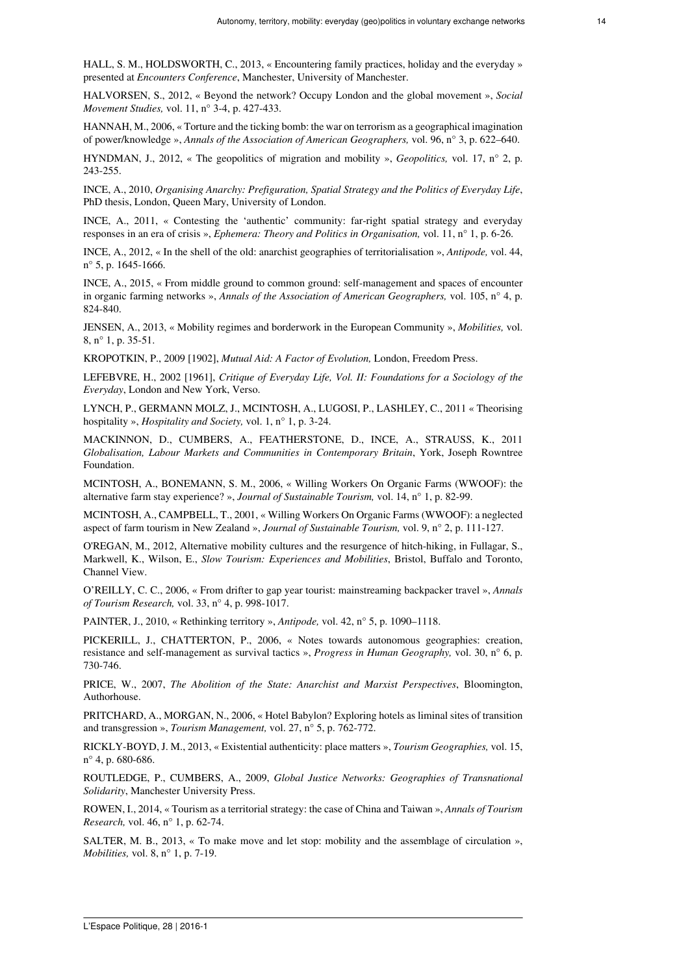HALL, S. M., HOLDSWORTH, C., 2013, « Encountering family practices, holiday and the everyday » presented at *Encounters Conference*, Manchester, University of Manchester.

HALVORSEN, S., 2012, « Beyond the network? Occupy London and the global movement », *Social Movement Studies,* vol. 11, n° 3-4, p. 427-433.

HANNAH, M., 2006, « Torture and the ticking bomb: the war on terrorism as a geographical imagination of power/knowledge », *Annals of the Association of American Geographers,* vol. 96, n° 3, p. 622–640.

HYNDMAN, J., 2012, « The geopolitics of migration and mobility », *Geopolitics,* vol. 17, n° 2, p. 243-255.

INCE, A., 2010, *Organising Anarchy: Prefiguration, Spatial Strategy and the Politics of Everyday Life*, PhD thesis, London, Queen Mary, University of London.

INCE, A., 2011, « Contesting the 'authentic' community: far-right spatial strategy and everyday responses in an era of crisis », *Ephemera: Theory and Politics in Organisation,* vol. 11, n° 1, p. 6-26.

INCE, A., 2012, « In the shell of the old: anarchist geographies of territorialisation », *Antipode,* vol. 44, n° 5, p. 1645-1666.

INCE, A., 2015, « From middle ground to common ground: self-management and spaces of encounter in organic farming networks », *Annals of the Association of American Geographers,* vol. 105, n° 4, p. 824-840.

JENSEN, A., 2013, « Mobility regimes and borderwork in the European Community », *Mobilities,* vol. 8, n° 1, p. 35-51.

KROPOTKIN, P., 2009 [1902], *Mutual Aid: A Factor of Evolution,* London, Freedom Press.

LEFEBVRE, H., 2002 [1961], *Critique of Everyday Life, Vol. II: Foundations for a Sociology of the Everyday*, London and New York, Verso.

LYNCH, P., GERMANN MOLZ, J., MCINTOSH, A., LUGOSI, P., LASHLEY, C., 2011 « Theorising hospitality », *Hospitality and Society,* vol. 1, n° 1, p. 3-24.

MACKINNON, D., CUMBERS, A., FEATHERSTONE, D., INCE, A., STRAUSS, K., 2011 *Globalisation, Labour Markets and Communities in Contemporary Britain*, York, Joseph Rowntree Foundation.

MCINTOSH, A., BONEMANN, S. M., 2006, « Willing Workers On Organic Farms (WWOOF): the alternative farm stay experience? », *Journal of Sustainable Tourism,* vol. 14, n° 1, p. 82-99.

MCINTOSH, A., CAMPBELL, T., 2001, « Willing Workers On Organic Farms (WWOOF): a neglected aspect of farm tourism in New Zealand », *Journal of Sustainable Tourism,* vol. 9, n° 2, p. 111-127.

O'REGAN, M., 2012, Alternative mobility cultures and the resurgence of hitch-hiking, in Fullagar, S., Markwell, K., Wilson, E., *Slow Tourism: Experiences and Mobilities*, Bristol, Buffalo and Toronto, Channel View.

O'REILLY, C. C., 2006, « From drifter to gap year tourist: mainstreaming backpacker travel », *Annals of Tourism Research,* vol. 33, n° 4, p. 998-1017.

PAINTER, J., 2010, « Rethinking territory », *Antipode,* vol. 42, n° 5, p. 1090–1118.

PICKERILL, J., CHATTERTON, P., 2006, « Notes towards autonomous geographies: creation, resistance and self-management as survival tactics », *Progress in Human Geography,* vol. 30, n° 6, p. 730-746.

PRICE, W., 2007, *The Abolition of the State: Anarchist and Marxist Perspectives*, Bloomington, Authorhouse.

PRITCHARD, A., MORGAN, N., 2006, « Hotel Babylon? Exploring hotels as liminal sites of transition and transgression », *Tourism Management,* vol. 27, n° 5, p. 762-772.

RICKLY-BOYD, J. M., 2013, « Existential authenticity: place matters », *Tourism Geographies,* vol. 15, n° 4, p. 680-686.

ROUTLEDGE, P., CUMBERS, A., 2009, *Global Justice Networks: Geographies of Transnational Solidarity*, Manchester University Press.

ROWEN, I., 2014, « Tourism as a territorial strategy: the case of China and Taiwan », *Annals of Tourism Research,* vol. 46, n° 1, p. 62-74.

SALTER, M. B., 2013, « To make move and let stop: mobility and the assemblage of circulation », *Mobilities,* vol. 8, n° 1, p. 7-19.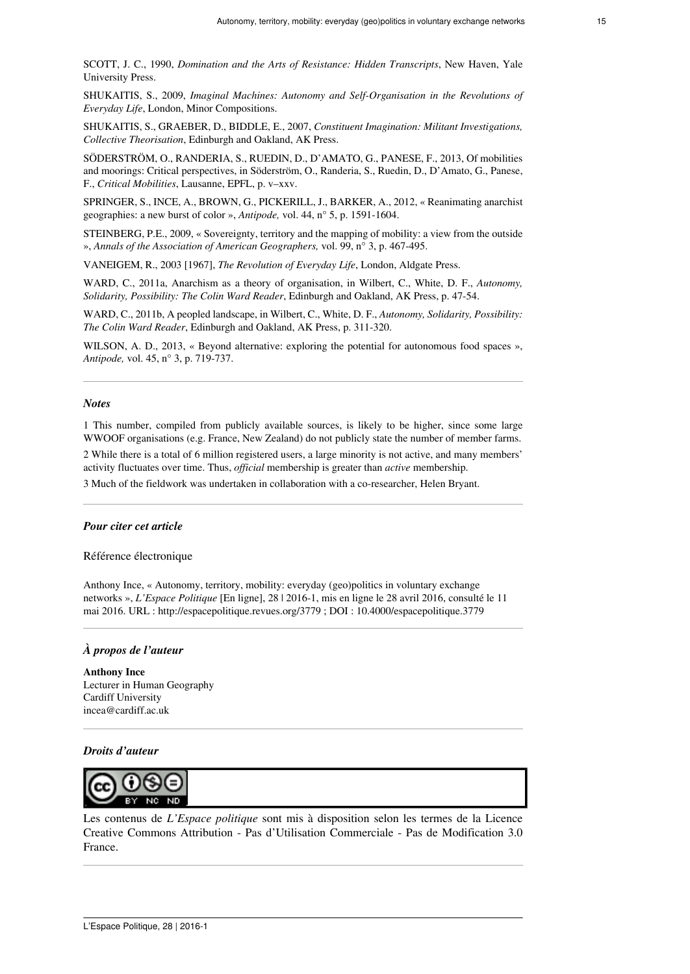SCOTT, J. C., 1990, *Domination and the Arts of Resistance: Hidden Transcripts*, New Haven, Yale University Press.

SHUKAITIS, S., 2009, *Imaginal Machines: Autonomy and Self-Organisation in the Revolutions of Everyday Life*, London, Minor Compositions.

SHUKAITIS, S., GRAEBER, D., BIDDLE, E., 2007, *Constituent Imagination: Militant Investigations, Collective Theorisation*, Edinburgh and Oakland, AK Press.

SÖDERSTRÖM, O., RANDERIA, S., RUEDIN, D., D'AMATO, G., PANESE, F., 2013, Of mobilities and moorings: Critical perspectives, in Söderström, O., Randeria, S., Ruedin, D., D'Amato, G., Panese, F., *Critical Mobilities*, Lausanne, EPFL, p. v–xxv.

SPRINGER, S., INCE, A., BROWN, G., PICKERILL, J., BARKER, A., 2012, « Reanimating anarchist geographies: a new burst of color », *Antipode,* vol. 44, n° 5, p. 1591-1604.

STEINBERG, P.E., 2009, « Sovereignty, territory and the mapping of mobility: a view from the outside », *Annals of the Association of American Geographers,* vol. 99, n° 3, p. 467-495.

VANEIGEM, R., 2003 [1967], *The Revolution of Everyday Life*, London, Aldgate Press.

WARD, C., 2011a, Anarchism as a theory of organisation, in Wilbert, C., White, D. F., *Autonomy, Solidarity, Possibility: The Colin Ward Reader*, Edinburgh and Oakland, AK Press, p. 47-54.

WARD, C., 2011b, A peopled landscape, in Wilbert, C., White, D. F., *Autonomy, Solidarity, Possibility: The Colin Ward Reader*, Edinburgh and Oakland, AK Press, p. 311-320.

WILSON, A. D., 2013, « Beyond alternative: exploring the potential for autonomous food spaces », *Antipode,* vol. 45, n° 3, p. 719-737.

#### *Notes*

<span id="page-14-0"></span>[1](#page-1-0) This number, compiled from publicly available sources, is likely to be higher, since some large WWOOF organisations (e.g. France, New Zealand) do not publicly state the number of member farms.

<span id="page-14-1"></span>[2](#page-1-1) While there is a total of 6 million registered users, a large minority is not active, and many members' activity fluctuates over time. Thus, *official* membership is greater than *active* membership.

<span id="page-14-2"></span>[3](#page-5-0) Much of the fieldwork was undertaken in collaboration with a co-researcher, Helen Bryant.

#### *Pour citer cet article*

Référence électronique

Anthony Ince, « Autonomy, territory, mobility: everyday (geo)politics in voluntary exchange networks », *L'Espace Politique* [En ligne], 28 | 2016-1, mis en ligne le 28 avril 2016, consulté le 11 mai 2016. URL : http://espacepolitique.revues.org/3779 ; DOI : 10.4000/espacepolitique.3779

#### *À propos de l'auteur*

**Anthony Ince** Lecturer in Human Geography Cardiff University [incea@cardiff.ac.uk](mailto:incea@cardiff.ac.uk)

#### *Droits d'auteur*



Les contenus de *L'Espace politique* sont mis à disposition selon les termes de la [Licence](https://creativecommons.org/licenses/by-nc-nd/3.0/fr/) [Creative Commons Attribution - Pas d'Utilisation Commerciale - Pas de Modification 3.0](https://creativecommons.org/licenses/by-nc-nd/3.0/fr/) [France.](https://creativecommons.org/licenses/by-nc-nd/3.0/fr/)